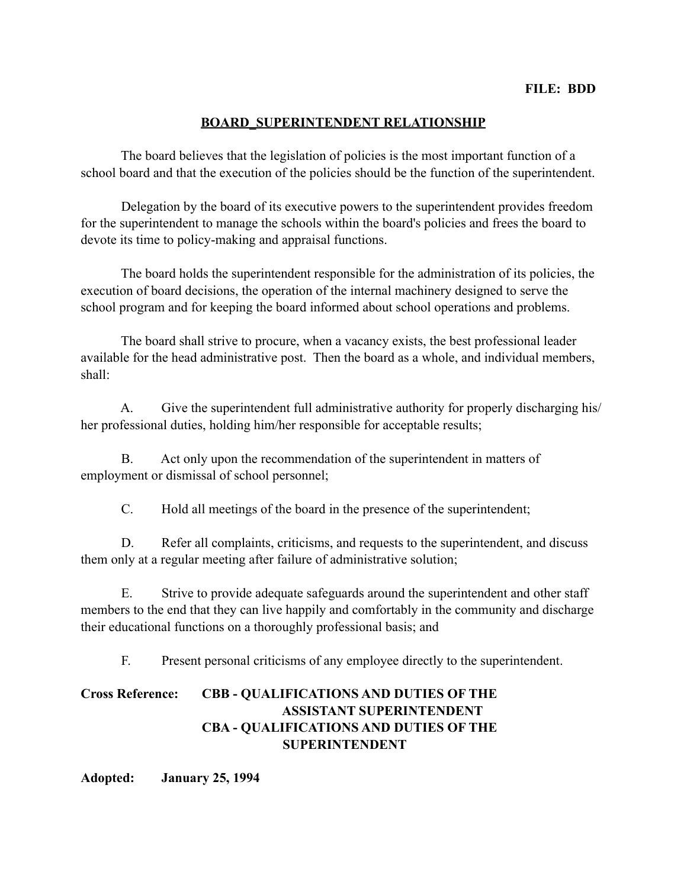## **BOARD\_SUPERINTENDENT RELATIONSHIP**

 The board believes that the legislation of policies is the most important function of a school board and that the execution of the policies should be the function of the superintendent.

 Delegation by the board of its executive powers to the superintendent provides freedom for the superintendent to manage the schools within the board's policies and frees the board to devote its time to policy-making and appraisal functions.

 The board holds the superintendent responsible for the administration of its policies, the execution of board decisions, the operation of the internal machinery designed to serve the school program and for keeping the board informed about school operations and problems.

 The board shall strive to procure, when a vacancy exists, the best professional leader available for the head administrative post. Then the board as a whole, and individual members, shall:

 A. Give the superintendent full administrative authority for properly discharging his/ her professional duties, holding him/her responsible for acceptable results;

 B. Act only upon the recommendation of the superintendent in matters of employment or dismissal of school personnel;

C. Hold all meetings of the board in the presence of the superintendent;

 D. Refer all complaints, criticisms, and requests to the superintendent, and discuss them only at a regular meeting after failure of administrative solution;

 E. Strive to provide adequate safeguards around the superintendent and other staff members to the end that they can live happily and comfortably in the community and discharge their educational functions on a thoroughly professional basis; and

F. Present personal criticisms of any employee directly to the superintendent.

## **Cross Reference: CBB - QUALIFICATIONS AND DUTIES OF THE ASSISTANT SUPERINTENDENT CBA - QUALIFICATIONS AND DUTIES OF THE SUPERINTENDENT**

**Adopted: January 25, 1994**